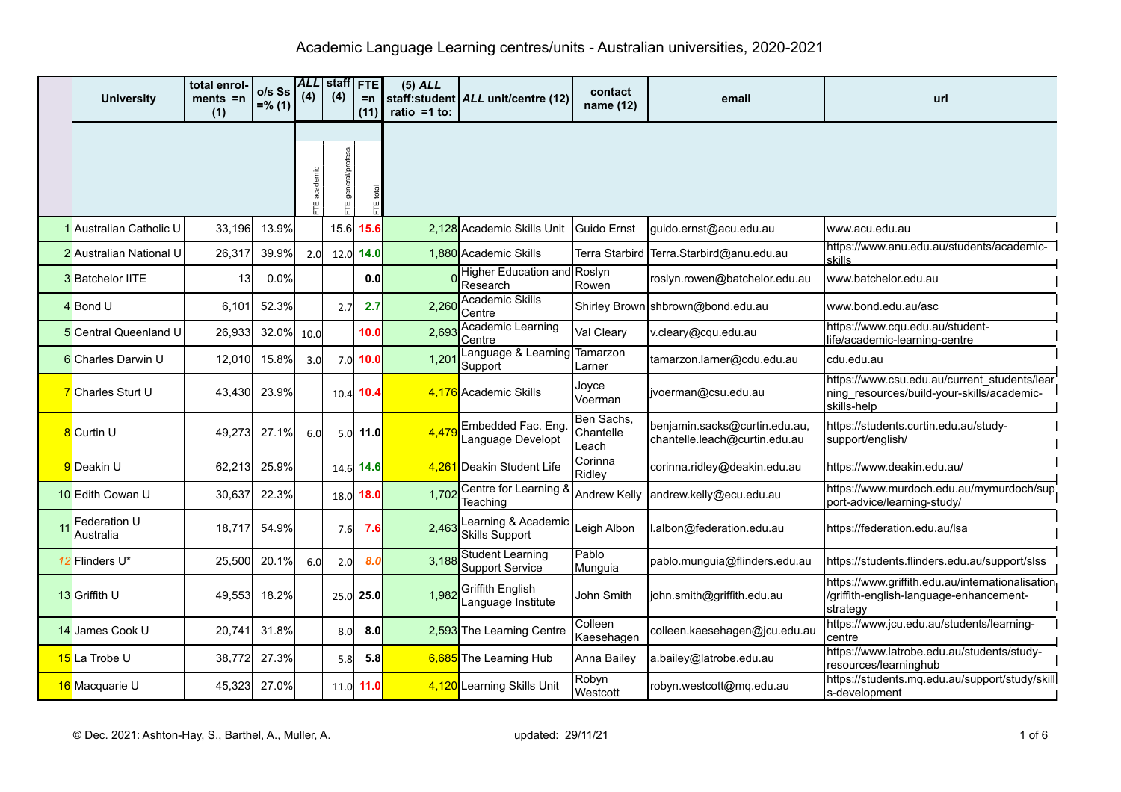|    | <b>University</b>              | total enrol-<br>$ments = n$<br>(1) | o/s Ss<br>$=$ % (1) | (4)         | <b>ALL</b> staff<br>(4) | <b>FTE</b><br>$=n$<br>(11) | $(5)$ ALL<br>ratio = $1$ to: | staff:student   ALL unit/centre (12)              | contact<br>name (12)             | email                                                          | url                                                                                                       |
|----|--------------------------------|------------------------------------|---------------------|-------------|-------------------------|----------------------------|------------------------------|---------------------------------------------------|----------------------------------|----------------------------------------------------------------|-----------------------------------------------------------------------------------------------------------|
|    |                                |                                    |                     | TE academic | general/profess.        |                            |                              |                                                   |                                  |                                                                |                                                                                                           |
|    | Australian Catholic U          | 33,196                             | 13.9%               |             | 15.6                    | 15.6                       |                              | 2,128 Academic Skills Unit                        | Guido Ernst                      | guido.ernst@acu.edu.au                                         | www.acu.edu.au                                                                                            |
|    | <b>2</b> Australian National U | 26,317                             | 39.9%               | 2.0         | 12.0                    | 14.0                       |                              | 1.880 Academic Skills                             | Terra Starbird                   | Terra.Starbird@anu.edu.au                                      | https://www.anu.edu.au/students/academic-<br>skills                                                       |
|    | 3 Batchelor IITE               | 13                                 | 0.0%                |             |                         | 0.0                        |                              | Higher Education and Roslyn<br>Research           | Rowen                            | roslyn.rowen@batchelor.edu.au                                  | www.batchelor.edu.au                                                                                      |
|    | 4Bond U                        | 6,101                              | 52.3%               |             | 2.7                     | 2.7                        |                              | 2,260 Academic Skills<br>Centre                   |                                  | Shirley Brown shbrown@bond.edu.au                              | www.bond.edu.au/asc                                                                                       |
|    | 5 Central Queenland U          | 26,933                             | 32.0%               | 10.0        |                         | 10.0                       | 2,693                        | <b>Academic Learning</b><br>Centre                | Val Cleary                       | v.cleary@cqu.edu.au                                            | https://www.cqu.edu.au/student-<br>life/academic-learning-centre                                          |
|    | 6 Charles Darwin U             | 12,010                             | 15.8%               | 3.0         | 7.0                     | 10.0                       | 1,201                        | Language & Learning<br>Support                    | Tamarzon<br>Larner               | tamarzon.larner@cdu.edu.au                                     | cdu.edu.au                                                                                                |
|    | 7 Charles Sturt U              | 43,430                             | 23.9%               |             | 10.4                    | 10.4                       |                              | 4,176 Academic Skills                             | Joyce<br>Voerman                 | jvoerman@csu.edu.au                                            | https://www.csu.edu.au/current_students/lear<br>ning_resources/build-your-skills/academic-<br>skills-help |
|    | 8 Curtin U                     | 49,273                             | 27.1%               | 6.0         | 5.0                     | 11.0                       | 4.479                        | Embedded Fac. Eng.<br>Language Developt           | Ben Sachs,<br>Chantelle<br>Leach | benjamin.sacks@curtin.edu.au,<br>chantelle.leach@curtin.edu.au | https://students.curtin.edu.au/study-<br>support/english/                                                 |
|    | 9Deakin U                      | 62,213                             | 25.9%               |             | 14.6                    | 14.6                       |                              | 4,261 Deakin Student Life                         | Corinna<br>Ridley                | corinna.ridley@deakin.edu.au                                   | https://www.deakin.edu.au/                                                                                |
|    | 10 Edith Cowan U               | 30,637                             | 22.3%               |             | 18.0                    | 18.0                       | 1,702                        | Centre for Learning &<br>Teaching                 | <b>Andrew Kelly</b>              | andrew.kelly@ecu.edu.au                                        | https://www.murdoch.edu.au/mymurdoch/supl<br>port-advice/learning-study/                                  |
| 11 | Federation U<br>Australia      | 18,717                             | 54.9%               |             | 7.6                     | 7.6                        | 2,463                        | Learning & Academic<br><b>Skills Support</b>      | Leigh Albon                      | .albon@federation.edu.au                                       | https://federation.edu.au/Isa                                                                             |
|    | 12 Flinders U*                 | 25,500                             | 20.1%               | 6.0         | 2.0                     | 8.0                        | 3.188                        | <b>Student Learning</b><br><b>Support Service</b> | Pablo<br>Munguia                 | pablo.munguia@flinders.edu.au                                  | https://students.flinders.edu.au/support/slss                                                             |
|    | 13 Griffith U                  | 49,553                             | 18.2%               |             | 25.0                    | 25.0                       |                              | 1,982 Griffith English<br>Language Institute      | John Smith                       | john.smith@griffith.edu.au                                     | https://www.griffith.edu.au/internationalisation<br>/griffith-english-language-enhancement-<br>strategy   |
|    | 14 James Cook U                | 20,741                             | 31.8%               |             | 8.0                     | 8.0                        |                              | 2,593 The Learning Centre                         | Colleen<br>Kaesehagen            | colleen.kaesehagen@jcu.edu.au                                  | https://www.jcu.edu.au/students/learning-<br>centre                                                       |
|    | 15 La Trobe U                  | 38,772                             | 27.3%               |             | 5.8                     | 5.8                        |                              | 6,685 The Learning Hub                            | Anna Bailey                      | a.bailey@latrobe.edu.au                                        | https://www.latrobe.edu.au/students/study-<br>resources/learninghub                                       |
|    | 16 Macquarie U                 | 45,323                             | 27.0%               |             | 11.0                    | 11.0                       |                              | 4,120 Learning Skills Unit                        | Robyn<br>Westcott                | robyn.westcott@mq.edu.au                                       | https://students.mq.edu.au/support/study/skill<br>s-development                                           |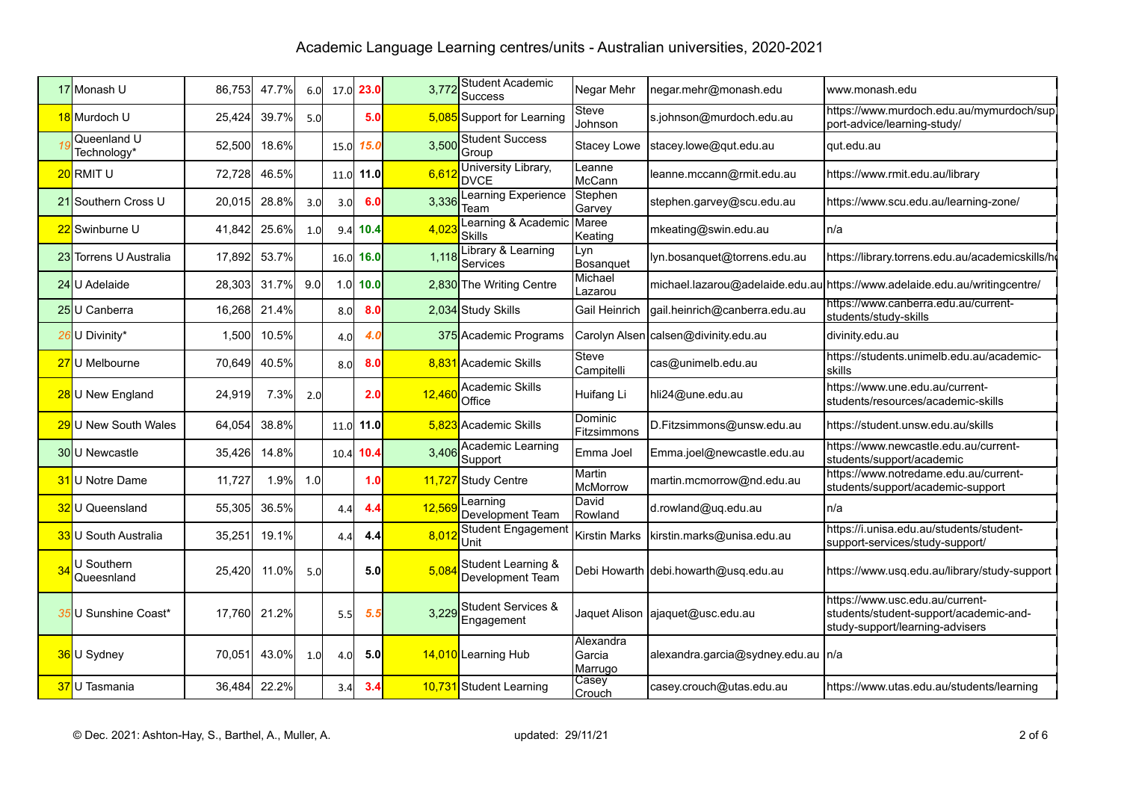|    | 17 Monash U                | 86,753 | 47.7% | 6.0              |                  | 17.0 23.0 | 3,77   | Student Academic<br>Success                 | Negar Mehr                     | negar.mehr@monash.edu                | www.monash.edu                                                                                               |
|----|----------------------------|--------|-------|------------------|------------------|-----------|--------|---------------------------------------------|--------------------------------|--------------------------------------|--------------------------------------------------------------------------------------------------------------|
|    | 18 Murdoch U               | 25,424 | 39.7% | 5.0              |                  | 5.0       |        | 5,085 Support for Learning                  | Steve<br>Johnson               | s.johnson@murdoch.edu.au             | https://www.murdoch.edu.au/mymurdoch/supl<br>port-advice/learning-study/                                     |
|    | Queenland U<br>Technology* | 52,500 | 18.6% |                  | 15.0             | 15.0      | 3,500  | <b>Student Success</b><br>Group             | Stacey Lowe                    | stacey.lowe@qut.edu.au               | qut.edu.au                                                                                                   |
|    | 20 RMIT U                  | 72,728 | 46.5% |                  |                  | 11.0 11.0 | 6,612  | University Library,<br><b>DVCE</b>          | Leanne<br>McCann               | leanne.mccann@rmit.edu.au            | https://www.rmit.edu.au/library                                                                              |
|    | 21 Southern Cross U        | 20,015 | 28.8% | 3.0 <sub>l</sub> | 3.0              | 6.0       | 3,336  | Learning Experience<br>Team                 | Stephen<br>Garvey              | stephen.garvey@scu.edu.au            | https://www.scu.edu.au/learning-zone/                                                                        |
|    | 22 Swinburne U             | 41,842 | 25.6% | 1.0              | 9.4              | 10.4      | 4,023  | Learning & Academic<br><b>Skills</b>        | <b>I</b> Maree<br>Keating      | mkeating@swin.edu.au                 | n/a                                                                                                          |
|    | 23 Torrens U Australia     | 17,892 | 53.7% |                  |                  | 16.0 16.0 | 1,118  | Library & Learning<br>Services              | Lyn<br>Bosanquet               | lyn.bosanquet@torrens.edu.au         | https://library.torrens.edu.au/academicskills/h                                                              |
|    | 24 U Adelaide              | 28,303 | 31.7% | 9.0              | 1.0 <sub>l</sub> | 10.0      |        | 2,830 The Writing Centre                    | Michael<br>Lazarou             |                                      | michael.lazarou@adelaide.edu.au https://www.adelaide.edu.au/writingcentre/                                   |
|    | 25 U Canberra              | 16,268 | 21.4% |                  | 8.0              | 8.0       |        | 2,034 Study Skills                          | Gail Heinrich                  | gail.heinrich@canberra.edu.au        | https://www.canberra.edu.au/current-<br>students/study-skills                                                |
|    | 26 U Divinity*             | 1,500  | 10.5% |                  | 4.0              | 4.0       |        | 375 Academic Programs                       |                                | Carolyn Alsen calsen@divinity.edu.au | divinity.edu.au                                                                                              |
|    | 27 U Melbourne             | 70,649 | 40.5% |                  | 8.0              | 8.0       |        | 8,831 Academic Skills                       | Steve<br>Campitelli            | cas@unimelb.edu.au                   | https://students.unimelb.edu.au/academic-<br>skills                                                          |
|    | 28 U New England           | 24,919 | 7.3%  | 2.0              |                  | 2.0       | 12,460 | Academic Skills<br>Office                   | Huifang Li                     | hli24@une.edu.au                     | https://www.une.edu.au/current-<br>students/resources/academic-skills                                        |
|    | 29U New South Wales        | 64,054 | 38.8% |                  |                  | 11.0 11.0 |        | 5,823 Academic Skills                       | Dominic<br>Fitzsimmons         | D.Fitzsimmons@unsw.edu.au            | https://student.unsw.edu.au/skills                                                                           |
|    | 30 U Newcastle             | 35,426 | 14.8% |                  | 10.4             | 10.4      | 3,406  | <b>Academic Learning</b><br>Support         | Emma Joel                      | Emma.joel@newcastle.edu.au           | https://www.newcastle.edu.au/current-<br>students/support/academic                                           |
|    | <b>31</b> U Notre Dame     | 11,727 | 1.9%  | 1.0              |                  | 1.0       |        | 11,727 Study Centre                         | Martin<br>McMorrow             | martin.mcmorrow@nd.edu.au            | https://www.notredame.edu.au/current-<br>students/support/academic-support                                   |
|    | 32 U Queensland            | 55,305 | 36.5% |                  | 4.4              | 4.4       | 12,569 | _earning<br>Development Team                | David<br>Rowland               | d.rowland@uq.edu.au                  | n/a                                                                                                          |
|    | 33 U South Australia       | 35,251 | 19.1% |                  | 4.4              | 4.4       | 8,012  | Student Engagement<br>Unit                  | <b>Kirstin Marks</b>           | kirstin.marks@unisa.edu.au           | https://i.unisa.edu.au/students/student-<br>support-services/study-support/                                  |
| 34 | U Southern<br>Queesnland   | 25,420 | 11.0% | 5.0              |                  | 5.0       | 5,084  | Student Learning &<br>Development Team      |                                | Debi Howarth debi.howarth@usq.edu.au | https://www.usq.edu.au/library/study-support                                                                 |
|    | 35 U Sunshine Coast*       | 17.760 | 21.2% |                  | 5.5              | 5.5       | 3,229  | <b>Student Services &amp;</b><br>Engagement |                                | Jaquet Alison   ajaquet@usc.edu.au   | https://www.usc.edu.au/current-<br>students/student-support/academic-and-<br>study-support/learning-advisers |
|    | 36U Sydney                 | 70,051 | 43.0% | 1.0              | 4.0              | 5.0       |        | 14,010 Learning Hub                         | Alexandra<br>Garcia<br>Marrugo | alexandra.garcia@sydney.edu.au   n/a |                                                                                                              |
|    | 37U Tasmania               | 36,484 | 22.2% |                  | 3.4              | 3.4       |        | 10,731 Student Learning                     | Casey<br>Crouch                | casey.crouch@utas.edu.au             | https://www.utas.edu.au/students/learning                                                                    |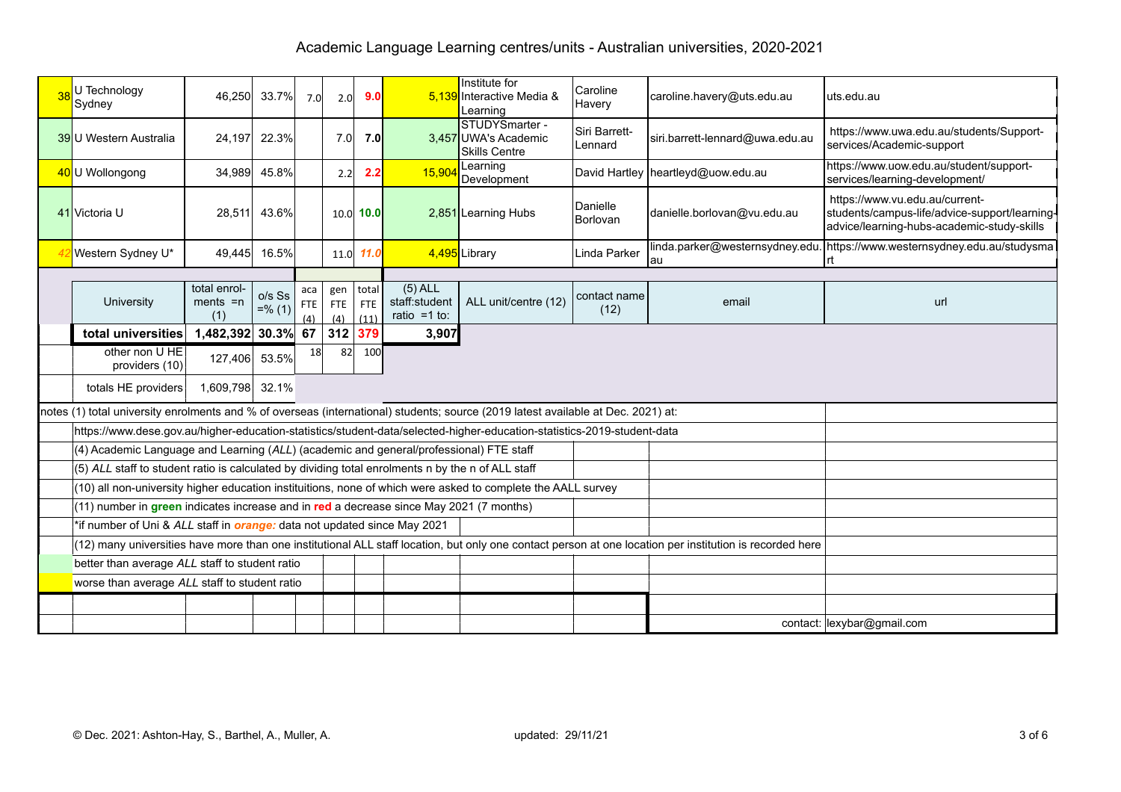| U Technology<br>Sydney                                                                            | 46,250                             | 33.7%                 | 7.0                           | 2.0                           | 9.0                         |                                               | Institute for<br>5,139 Interactive Media &<br>Learning                                                                            | Caroline<br>Havery                                                                                                                                       | caroline.havery@uts.edu.au            | uts.edu.au                                                                                                                    |
|---------------------------------------------------------------------------------------------------|------------------------------------|-----------------------|-------------------------------|-------------------------------|-----------------------------|-----------------------------------------------|-----------------------------------------------------------------------------------------------------------------------------------|----------------------------------------------------------------------------------------------------------------------------------------------------------|---------------------------------------|-------------------------------------------------------------------------------------------------------------------------------|
| <b>39U</b> Western Australia                                                                      | 24,197                             | 22.3%                 |                               | 7.0 <sub>l</sub>              | 7.0                         |                                               | STUDYSmarter -<br>3,457 UWA's Academic<br><b>I</b> Skills Centre                                                                  | Siri Barrett-<br>Lennard                                                                                                                                 | siri.barrett-lennard@uwa.edu.au       | https://www.uwa.edu.au/students/Support-<br>services/Academic-support                                                         |
| 40 U Wollongong                                                                                   | 34,989                             | 45.8%                 |                               | 2.2                           | 2.2                         | 15,904                                        | Learning<br>Development                                                                                                           |                                                                                                                                                          | David Hartley   heartleyd@uow.edu.au  | https://www.uow.edu.au/student/support-<br>services/learning-development/                                                     |
| 41 Victoria U                                                                                     | 28,511                             | 43.6%                 |                               |                               | $10.0$ 10.0                 |                                               | 2,851 Learning Hubs                                                                                                               | Danielle<br>Borlovan                                                                                                                                     | danielle.borlovan@vu.edu.au           | https://www.vu.edu.au/current-<br>students/campus-life/advice-support/learning-<br>advice/learning-hubs-academic-study-skills |
| Western Sydney U*                                                                                 | 49,445                             | 16.5%                 |                               |                               | 11.0 11.0                   |                                               | 4,495 Library                                                                                                                     | Linda Parker                                                                                                                                             | linda.parker@westernsydney.edu.<br>au | https://www.westernsydney.edu.au/studysma                                                                                     |
|                                                                                                   |                                    |                       |                               |                               |                             |                                               |                                                                                                                                   |                                                                                                                                                          |                                       |                                                                                                                               |
| University                                                                                        | total enrol-<br>$ments = n$<br>(1) | $o/s$ Ss<br>$=$ % (1) | aca<br><b>FTE</b><br>$\Delta$ | gen<br><b>FTE</b><br>$\Delta$ | total<br><b>FTE</b><br>(11) | $(5)$ ALL<br>staff:student<br>ratio = $1$ to: | ALL unit/centre (12)                                                                                                              | contact name<br>(12)                                                                                                                                     | email                                 | url                                                                                                                           |
| total universities                                                                                | 1,482,392 30.3% 67                 |                       |                               | 312                           | 379                         | 3,907                                         |                                                                                                                                   |                                                                                                                                                          |                                       |                                                                                                                               |
| other non U HE<br>providers (10)                                                                  | 127,406                            | 53.5%                 | 18                            | 82                            | 100                         |                                               |                                                                                                                                   |                                                                                                                                                          |                                       |                                                                                                                               |
| totals HE providers                                                                               | 1,609,798 32.1%                    |                       |                               |                               |                             |                                               |                                                                                                                                   |                                                                                                                                                          |                                       |                                                                                                                               |
|                                                                                                   |                                    |                       |                               |                               |                             |                                               | notes (1) total university enrolments and % of overseas (international) students; source (2019 latest available at Dec. 2021) at: |                                                                                                                                                          |                                       |                                                                                                                               |
|                                                                                                   |                                    |                       |                               |                               |                             |                                               | https://www.dese.gov.au/higher-education-statistics/student-data/selected-higher-education-statistics-2019-student-data           |                                                                                                                                                          |                                       |                                                                                                                               |
| (4) Academic Language and Learning (ALL) (academic and general/professional) FTE staff            |                                    |                       |                               |                               |                             |                                               |                                                                                                                                   |                                                                                                                                                          |                                       |                                                                                                                               |
| (5) ALL staff to student ratio is calculated by dividing total enrolments n by the n of ALL staff |                                    |                       |                               |                               |                             |                                               |                                                                                                                                   |                                                                                                                                                          |                                       |                                                                                                                               |
|                                                                                                   |                                    |                       |                               |                               |                             |                                               | (10) all non-university higher education instituitions, none of which were asked to complete the AALL survey                      |                                                                                                                                                          |                                       |                                                                                                                               |
| (11) number in green indicates increase and in red a decrease since May 2021 (7 months)           |                                    |                       |                               |                               |                             |                                               |                                                                                                                                   |                                                                                                                                                          |                                       |                                                                                                                               |
| *if number of Uni & ALL staff in <i>orange:</i> data not updated since May 2021                   |                                    |                       |                               |                               |                             |                                               |                                                                                                                                   |                                                                                                                                                          |                                       |                                                                                                                               |
|                                                                                                   |                                    |                       |                               |                               |                             |                                               |                                                                                                                                   | (12) many universities have more than one institutional ALL staff location, but only one contact person at one location per institution is recorded here |                                       |                                                                                                                               |
| better than average ALL staff to student ratio                                                    |                                    |                       |                               |                               |                             |                                               |                                                                                                                                   |                                                                                                                                                          |                                       |                                                                                                                               |
| worse than average ALL staff to student ratio                                                     |                                    |                       |                               |                               |                             |                                               |                                                                                                                                   |                                                                                                                                                          |                                       |                                                                                                                               |
|                                                                                                   |                                    |                       |                               |                               |                             |                                               |                                                                                                                                   |                                                                                                                                                          |                                       |                                                                                                                               |
|                                                                                                   |                                    |                       |                               |                               |                             |                                               |                                                                                                                                   |                                                                                                                                                          |                                       | contact: lexybar@gmail.com                                                                                                    |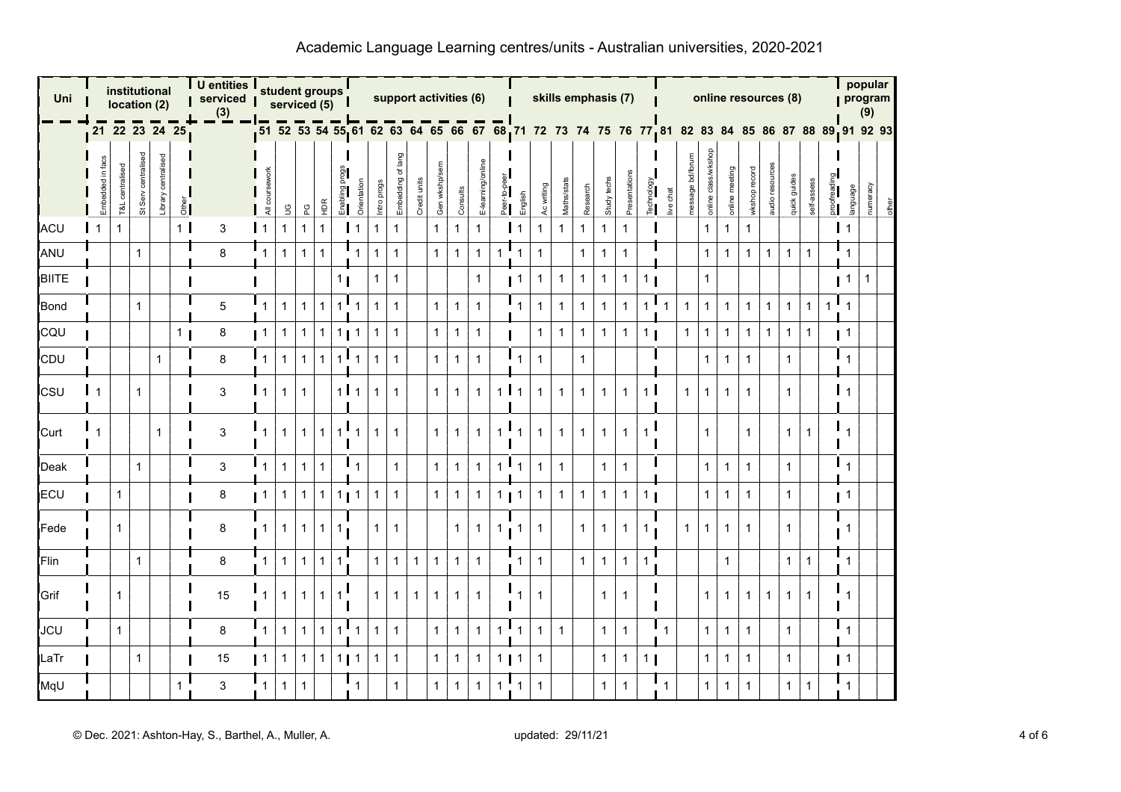| Uni          |                  |                 | institutional<br>location (2) |                        |                | U entities<br>serviced  <br>(3) |                | student groups<br>serviced $(5)$ |              |              |                  |                  |              |                      |              |               | support activities (6) |                   |                        |                   |              | skills emphasis (7)                                                                             |              |              |              |                |                |                  |                     |                |               |                | online resources (8) |              |             |                  | popular<br>program<br>(9) |       |
|--------------|------------------|-----------------|-------------------------------|------------------------|----------------|---------------------------------|----------------|----------------------------------|--------------|--------------|------------------|------------------|--------------|----------------------|--------------|---------------|------------------------|-------------------|------------------------|-------------------|--------------|-------------------------------------------------------------------------------------------------|--------------|--------------|--------------|----------------|----------------|------------------|---------------------|----------------|---------------|----------------|----------------------|--------------|-------------|------------------|---------------------------|-------|
|              |                  |                 |                               |                        | 21 22 23 24 25 |                                 |                |                                  |              |              |                  |                  |              |                      |              |               |                        |                   |                        |                   |              | 51 52 53 54 55 61 62 63 64 65 66 67 68 71 72 73 74 75 76 77 81 82 83 84 85 86 87 88 89 91 92 93 |              |              |              |                |                |                  |                     |                |               |                |                      |              |             |                  |                           |       |
|              | Embedded in facs | T&L centralised | St Serv centralised           | centralisec<br>Library | $rac{1}{2}$    |                                 | All cou        | S                                | ဥ            | НDR          | Enabl            | Orientation      | Intro progs  | of lang<br>Embedding | Credit units | Gen wkshp/sem | Consults               | E-learning/online | ॄै<br>Pee <sup>-</sup> | English           | Ac writing   | Maths/stats                                                                                     | Research     | Study techs  | Presentatio  | Technology     | live chat      | message bd/forum | online class/wkshop | online meeting | wkshop record | audio resource | quick guides         | self-assess  | proofreadin | language         | numeracy                  | other |
| ACU          | 1                | $\mathbf{1}$    |                               |                        | 1 <sup>1</sup> | 3                               | $\mathsf{I}$ 1 | $\mathbf{1}$                     | $\mathbf{1}$ | $\mathbf{1}$ |                  | l 1              | $\mathbf{1}$ | $\mathbf{1}$         |              | $\mathbf{1}$  | $\mathbf{1}$           | $\mathbf{1}$      |                        | $\mathbf{I}$ 1    | $\mathbf{1}$ | $\mathbf{1}$                                                                                    | 1            | $\mathbf{1}$ | $\mathbf{1}$ |                |                |                  | $\mathbf{1}$        | $\mathbf{1}$   | $\mathbf{1}$  |                |                      |              |             | $\mathsf{I}$ 1   |                           |       |
| ANU          |                  |                 | $\mathbf{1}$                  |                        |                | 8                               | $\mathbf 1$    | $\mathbf{1}$                     | $\mathbf{1}$ | $\mathbf{1}$ |                  | $\mathbf{1}$     | $\mathbf{1}$ | $\mathbf{1}$         |              | $\mathbf{1}$  | $\mathbf{1}$           | $\mathbf{1}$      | $\mathbf{1}$           | $\mathbf{1}$      | $\mathbf{1}$ |                                                                                                 | $\mathbf{1}$ | 1            | $\mathbf{1}$ |                |                |                  | $\mathbf{1}$        | $\mathbf{1}$   | $\mathbf{1}$  | $\mathbf{1}$   | $\mathbf{1}$         | 1            |             | 1                |                           |       |
| <b>BIITE</b> |                  |                 |                               |                        |                |                                 |                |                                  |              |              | 11               |                  | 1            | $\mathbf 1$          |              |               |                        | $\mathbf{1}$      |                        | $\blacksquare$    | $\mathbf{1}$ | $\mathbf{1}$                                                                                    | 1            | 1            | $\mathbf{1}$ | 1              |                |                  | $\mathbf{1}$        |                |               |                |                      |              |             | $\blacksquare$ 1 | 1                         |       |
| Bond         |                  |                 | $\mathbf{1}$                  |                        |                | 5                               | 1              | $\mathbf{1}$                     | $\mathbf{1}$ | $\mathbf{1}$ | $1^{\mathsf{T}}$ | $\mathbf{1}$     | $\mathbf{1}$ | $\mathbf{1}$         |              | $\mathbf{1}$  | $\mathbf{1}$           | $\mathbf{1}$      |                        | $\mathbf{1}$      | $\mathbf{1}$ | $\mathbf{1}$                                                                                    | 1            | $\mathbf{1}$ | $\mathbf{1}$ | $\mathbf{1}$   |                | $\mathbf{1}$     | $\mathbf{1}$        | $\mathbf{1}$   | $\mathbf{1}$  | $\mathbf{1}$   | $\mathbf{1}$         | $\mathbf{1}$ | 1           |                  |                           |       |
| CQU          |                  |                 |                               |                        | 1 <sub>1</sub> | 8                               | $\blacksquare$ | $\mathbf{1}$                     | $\mathbf{1}$ | $\mathbf{1}$ | 1 <sub>l</sub>   | $\mathbf{1}$     | 1            | $\mathbf{1}$         |              | $\mathbf{1}$  | $\mathbf{1}$           | $\mathbf{1}$      |                        |                   | $\mathbf{1}$ | $\mathbf{1}$                                                                                    | $\mathbf 1$  | $\mathbf{1}$ | $\mathbf{1}$ | 1 <sub>1</sub> |                | $\mathbf{1}$     | $\mathbf{1}$        | $\mathbf{1}$   | $\mathbf{1}$  | $\mathbf{1}$   | 1                    | 1            |             | $\blacksquare$ 1 |                           |       |
| CDU          |                  |                 |                               | $\mathbf{1}$           |                | 8                               |                | $\mathbf{1}$                     | $\mathbf{1}$ | 1            | $\mathbf{1}$     |                  | 1            | $\mathbf{1}$         |              | $\mathbf{1}$  | $\mathbf{1}$           | $\mathbf{1}$      |                        | $\mathbf{1}$      | $\mathbf{1}$ |                                                                                                 | 1            |              |              |                |                |                  | $\mathbf{1}$        | $\mathbf{1}$   | $\mathbf{1}$  |                | 1                    |              |             |                  |                           |       |
| <b>CSU</b>   |                  |                 | 1                             |                        |                | 3                               | $\vert$ 1      | $\mathbf 1$                      | $\mathbf 1$  |              |                  | 111              | 1            | $\mathbf{1}$         |              | $\mathbf{1}$  | $\mathbf{1}$           | 1                 | $\mathbf{1}$           | $\overline{1}$    | $\mathbf{1}$ | $\mathbf{1}$                                                                                    |              | 1            | $\mathbf{1}$ | 1 <sup>1</sup> |                | $\mathbf{1}$     | $\mathbf 1$         | $\mathbf{1}$   | 1             |                | 1                    |              |             | $\overline{1}$   |                           |       |
| Curt         |                  |                 |                               | $\mathbf{1}$           |                | 3                               |                | $\mathbf{1}$                     | $\mathbf 1$  | $\mathbf{1}$ | $\mathbf{1}$     | ш                | 1            | $\mathbf{1}$         |              | $\mathbf{1}$  | $\mathbf{1}$           | $\mathbf{1}$      | -1                     | $\mathbf{1}$      | $\mathbf{1}$ | $\mathbf{1}$                                                                                    |              | $\mathbf{1}$ | $\mathbf{1}$ | 1              |                |                  | $\mathbf{1}$        |                | $\mathbf{1}$  |                | $\mathbf{1}$         | 1            |             |                  |                           |       |
| Deak         |                  |                 | $\mathbf{1}$                  |                        |                | 3                               | $\mathbf{1}$   | $\mathbf{1}$                     | $\mathbf{1}$ | $\mathbf{1}$ |                  | $\mathbf{I}_{1}$ |              | $\mathbf{1}$         |              | $\mathbf{1}$  | $\mathbf{1}$           | $\mathbf{1}$      | $\mathbf{1}$           | ш<br>$\mathbf{1}$ | $\mathbf{1}$ | $\mathbf{1}$                                                                                    |              | $\mathbf{1}$ | $\mathbf{1}$ |                |                |                  | $\mathbf{1}$        | $\mathbf{1}$   | $\mathbf{1}$  |                | $\mathbf{1}$         |              |             |                  |                           |       |
| ECU          |                  | $\mathbf{1}$    |                               |                        |                | 8                               | $\blacksquare$ | $\mathbf{1}$                     | $\mathbf{1}$ | 1            |                  | 111              | 1            | $\mathbf{1}$         |              | $\mathbf{1}$  | $\mathbf{1}$           | $\mathbf{1}$      | $\mathbf{1}$           | $\blacksquare$    | $\mathbf{1}$ | $\mathbf{1}$                                                                                    | 1            | 1            | $\mathbf{1}$ | 1 <sub>l</sub> |                |                  | $\mathbf{1}$        | $\mathbf{1}$   | $\mathbf{1}$  |                | $\mathbf{1}$         |              |             | $\blacksquare$   |                           |       |
| Fede         |                  | $\mathbf{1}$    |                               |                        |                | 8                               | $\mathbf{1}$   | $\mathbf 1$                      | -1           | $\mathbf{1}$ | 1                |                  | 1            | $\mathbf{1}$         |              |               | $\mathbf{1}$           | 1                 | -1                     | $\mathbf{1}$      | $\mathbf{1}$ |                                                                                                 |              | 1            | $\mathbf{1}$ | 1              |                | $\mathbf{1}$     | -1                  | $\mathbf{1}$   | 1             |                | 1                    |              |             |                  |                           |       |
| Flin         |                  |                 | $\mathbf{1}$                  |                        |                | 8                               | $\mathbf{1}$   | $\overline{1}$                   | $\mathbf{1}$ | $\mathbf{1}$ | $\mathbf{1}$     |                  | $\mathbf{1}$ | $\mathbf{1}$         | $\mathbf{1}$ | $\mathbf{1}$  | $\mathbf{1}$           | $\mathbf{1}$      |                        | $\mathbf{1}$      | $\mathbf{1}$ |                                                                                                 | 1            | $\mathbf{1}$ | $\mathbf{1}$ | $\mathbf{1}$   |                |                  |                     | $\mathbf 1$    |               |                | $\mathbf{1}$         | $\mathbf{1}$ |             |                  |                           |       |
| Grif         |                  | 1               |                               |                        |                | 15                              | 1              | $\mathbf{1}$                     | 1            | $\mathbf{1}$ | $\mathbf{1}$     |                  | 1            | -1                   | $\mathbf{1}$ | $\mathbf{1}$  | $\mathbf{1}$           | $\mathbf{1}$      |                        | 1                 | -1           |                                                                                                 |              | 1            | $\mathbf{1}$ |                |                |                  | -1                  | $\mathbf{1}$   | 1.            | 1              | 1.                   | 1            |             |                  |                           |       |
| <b>JCU</b>   |                  | $\mathbf{1}$    |                               |                        |                | 8                               | $\mathbf{1}$   | $\mathbf{1}$                     | $\mathbf{1}$ | $\mathbf{1}$ | $1^{\mathsf{T}}$ | $\mathbf{1}$     | $\mathbf{1}$ | $\mathbf{1}$         |              | $\mathbf{1}$  | $\mathbf{1}$           | $\mathbf{1}$      | $\mathbf{1}$           | ш<br>$\mathbf{1}$ | $\mathbf{1}$ | $\mathbf{1}$                                                                                    |              | $\mathbf{1}$ | $\mathbf{1}$ |                | $\mathbf{F}_1$ |                  | $\mathbf{1}$        | $\mathbf{1}$   | $\mathbf{1}$  |                | $\mathbf{1}$         |              |             | $\mathbf{1}$     |                           |       |
| LaTr         |                  |                 | $\mathbf{1}$                  |                        |                | 15                              | $\blacksquare$ | $\mathbf{1}$                     | $\mathbf{1}$ | $\mathbf{1}$ | 11               | $\mathbf{1}$     | 1            | $\mathbf{1}$         |              | $\mathbf{1}$  | $\mathbf{1}$           | $\mathbf{1}$      | $1$   1                |                   | $\mathbf{1}$ |                                                                                                 |              | $\mathbf{1}$ | $\mathbf{1}$ | 1 <sub>1</sub> |                |                  | $\mathbf{1}$        | $\mathbf{1}$   | $\mathbf{1}$  |                | $\mathbf{1}$         |              |             | $\blacksquare$   |                           |       |
| MqU          |                  |                 |                               |                        |                | 3                               | 1              | $\mathbf{1}$                     | $\mathbf{1}$ |              |                  |                  |              | $\mathbf{1}$         |              | $\mathbf{1}$  | $\mathbf{1}$           | $\mathbf{1}$      | $\mathbf 1$            | $\mathbf{1}$      | $\mathbf{1}$ |                                                                                                 |              | $\mathbf{1}$ | $\mathbf{1}$ |                |                |                  | $\mathbf{1}$        | $\mathbf{1}$   | 1             |                | 1.                   | 1            |             |                  |                           |       |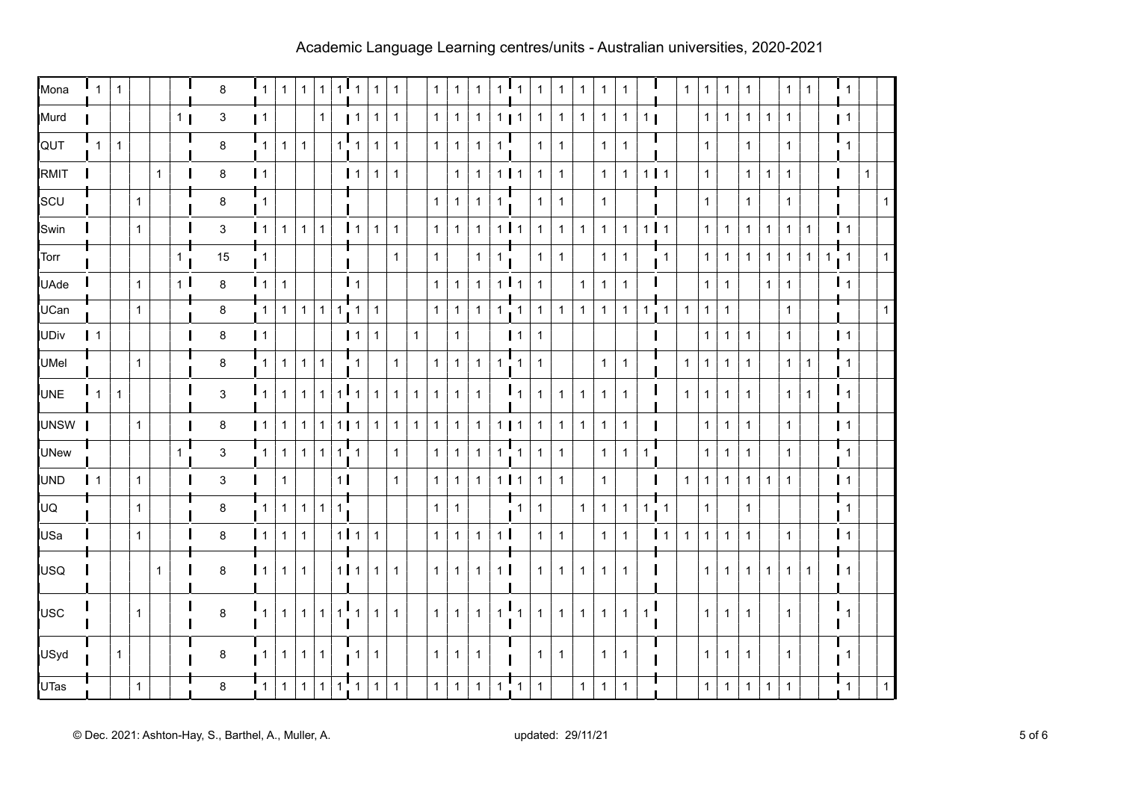| Mona        | $\mathbf{1}$   | $\mathbf{1}$ |              |              |                | 8                         | $\mathbf{I}_{1}$ | $\mathbf{1}$   | $\mathbf{1}$ | $\mathbf 1$  | $\mathbf{1}$   | ч.<br>$\mathbf{1}$          | $\mathbf{1}$ | $\mathbf{1}$ |              | $\mathbf{1}$ | $\mathbf{1}$ | $\mathbf{1}$   | $\mathbf{1}$     | $\mathbf{1}$                  | $\mathbf{1}$ | $\mathbf{1}$ | $\mathbf{1}$ | $\mathbf{1}$ | $\mathbf 1$  |                |                | $\mathbf{1}$ | $\mathbf{1}$ | $\mathbf{1}$   | $\mathbf{1}$ |              | $\mathbf{1}$ | $\mathbf{1}$ |             | $\mathsf{L}_1$   |              |              |
|-------------|----------------|--------------|--------------|--------------|----------------|---------------------------|------------------|----------------|--------------|--------------|----------------|-----------------------------|--------------|--------------|--------------|--------------|--------------|----------------|------------------|-------------------------------|--------------|--------------|--------------|--------------|--------------|----------------|----------------|--------------|--------------|----------------|--------------|--------------|--------------|--------------|-------------|------------------|--------------|--------------|
| Murd        |                |              |              |              | 1 <sub>1</sub> | $\ensuremath{\mathsf{3}}$ | $\blacksquare$   |                |              | $\mathbf{1}$ |                | $\blacksquare$              | $\mathbf{1}$ | $\mathbf{1}$ |              | $\mathbf{1}$ | $\mathbf{1}$ | $\mathbf{1}$   | $111$            |                               | $\mathbf{1}$ | $\mathbf{1}$ | $\mathbf{1}$ | $\mathbf{1}$ | $\mathbf{1}$ | 1 <sub>1</sub> |                |              | $\mathbf{1}$ | $\mathbf{1}$   | 1            | $\mathbf{1}$ | $\mathbf{1}$ |              |             | $\vert$ 1        |              |              |
| QUT         | $\mathbf{1}$   | $\mathbf{1}$ |              |              |                | 8                         |                  | $\mathbf{1}$   | $\mathbf{1}$ |              |                | $1^{\bullet}$ 1             | $\mathbf{1}$ | $\mathbf{1}$ |              | $\mathbf{1}$ | $\mathbf{1}$ | $\mathbf{1}$   | $\mathbf{1}$     |                               | $\mathbf{1}$ | $\mathbf{1}$ |              | $\mathbf{1}$ | $\mathbf{1}$ |                |                |              | $\mathbf{1}$ |                | $\mathbf{1}$ |              | $\mathbf{1}$ |              |             | $\mathsf{L}_1$   |              |              |
| RMIT        |                |              |              | $\mathbf{1}$ |                | 8                         | $\vert$ 1        |                |              |              |                | $\vert$ 1                   | $\mathbf{1}$ | $\mathbf{1}$ |              |              | $\mathbf{1}$ | $\mathbf{1}$   | $1$ $1$          |                               | $\mathbf{1}$ | $\mathbf 1$  |              | $\mathbf{1}$ | $\mathbf{1}$ | $1$ $1$        |                |              | $\mathbf{1}$ |                | 1            | $\mathbf{1}$ | $\mathbf{1}$ |              |             |                  | $\mathbf{1}$ |              |
| SCU         |                |              | $\mathbf{1}$ |              |                | 8                         | $\mathbf{1}$     |                |              |              |                |                             |              |              |              | $\mathbf{1}$ | $\mathbf{1}$ | $\mathbf{1}$   | $\mathbf 1$      |                               | $\mathbf{1}$ | 1            |              | $\mathbf{1}$ |              |                |                |              | $\mathbf{1}$ |                | $\mathbf{1}$ |              | $\mathbf{1}$ |              |             |                  |              | -1           |
| Swin        |                |              | $\mathbf{1}$ |              |                | $\mathbf{3}$              | $\mathbf{I}$ 1   | $\mathbf{1}$   | $\mathbf{1}$ | $\mathbf{1}$ |                | $\mathbf{I}$ 1              | $\mathbf{1}$ | $\mathbf{1}$ |              | $\mathbf{1}$ | $\mathbf{1}$ | $\mathbf{1}$   | $1$   1          |                               | $\mathbf{1}$ | $\mathbf{1}$ | $\mathbf{1}$ | $\mathbf{1}$ | $\mathbf{1}$ | 111            |                |              | $\mathbf{1}$ | $\mathbf{1}$   | 1            | $\mathbf{1}$ | $\mathbf{1}$ | $\mathbf{1}$ |             | $\mathbf{I}$ 1   |              |              |
| Torr        |                |              |              |              | 1              | 15                        | $\overline{1}$   |                |              |              |                |                             |              | $\mathbf{1}$ |              | $\mathbf{1}$ |              | $\mathbf{1}$   | $\mathbf{1}$     |                               | $\mathbf{1}$ | $\mathbf{1}$ |              | $\mathbf{1}$ | $\mathbf{1}$ |                | $\mathbf{1}$   |              | $\mathbf{1}$ | $\mathbf{1}$   | $1 \mid$     | 1            | $\mathbf{1}$ | $\mathbf{1}$ | $1 \quad 1$ |                  |              | $\mathbf{1}$ |
| <b>UAde</b> |                |              | 1            |              | 1 <sup>1</sup> | 8                         | $\mathbf{I}$ 1   | $\mathbf{1}$   |              |              |                | $\mathsf{I}_1$              |              |              |              | $\mathbf{1}$ | $\mathbf{1}$ | $\mathbf{1}$   | 1 <sup>1</sup> 1 |                               | $\mathbf{1}$ |              | $\mathbf{1}$ | $\mathbf{1}$ | $\mathbf{1}$ |                |                |              | $\mathbf{1}$ | $\mathbf{1}$   |              | $\mathbf{1}$ | $\mathbf{1}$ |              |             | $\mathbf{I}_{1}$ |              |              |
| UCan        |                |              | $\mathbf{1}$ |              |                | 8                         | $\mathbf{1}$     | $\mathbf{1}$   | $\mathbf{1}$ | $\mathbf{1}$ |                | $1 \quad 1$                 | $\mathbf{1}$ |              |              | $\mathbf{1}$ | $\mathbf{1}$ | $\mathbf{1}$   | $\mathbf{1}$     | $\cdot$ 1                     | $\mathbf{1}$ | $\mathbf{1}$ | $\mathbf{1}$ | $\mathbf{1}$ | $\mathbf{1}$ | $\mathbf{1}$   | $\mathbf{1}$   | $\mathbf{1}$ | $\mathbf{1}$ | $\mathbf{1}$   |              |              | $\mathbf{1}$ |              |             |                  |              | -1           |
| <b>UDiv</b> | $\mathsf{I}$ 1 |              |              |              |                | 8                         | $\vert$ 1        |                |              |              |                | $\blacksquare$              | $\mathbf{1}$ |              | $\mathbf{1}$ |              | $\mathbf{1}$ |                |                  | $\blacksquare$                | $\mathbf{1}$ |              |              |              |              |                |                |              | $\mathbf{1}$ | $\mathbf{1}$   | $\mathbf{1}$ |              | $\mathbf{1}$ |              |             | $\mathbf{1}$ 1   |              |              |
| <b>UMel</b> |                |              | $\mathbf{1}$ |              |                | 8                         | $\mathbf{1}$     | $\overline{1}$ | $\mathbf{1}$ | $\mathbf{1}$ |                | $\mathbf{1}$                |              | $\mathbf{1}$ |              | $\mathbf{1}$ | $\mathbf{1}$ | $\mathbf{1}$   | $\mathbf{1}$     | $\mathbf{1}$                  | $\mathbf{1}$ |              |              | $\mathbf{1}$ | $\mathbf{1}$ |                |                | $\mathbf{1}$ | $\mathbf{1}$ | $\mathbf{1}$   | $\mathbf{1}$ |              | $\mathbf{1}$ | $\mathbf{1}$ |             | $\mathbf{1}$     |              |              |
| <b>UNE</b>  | $\mathsf{L}_1$ | $\mathbf{1}$ |              |              |                | $\mathsf 3$               | $\mathsf{I}_1$   | $\mathbf{1}$   | $\mathbf{1}$ | $\mathbf{1}$ | 1 <sup>1</sup> |                             | $\mathbf{1}$ | $\mathbf{1}$ | $\mathbf{1}$ | $\mathbf{1}$ | $\mathbf{1}$ | $\mathbf{1}$   |                  | $\mathsf{I}_1$                | $\mathbf{1}$ | 1.           | $\mathbf{1}$ | $\mathbf{1}$ | $\mathbf{1}$ |                |                | $\mathbf{1}$ | $\mathbf{1}$ | $\mathbf{1}$   | $\mathbf{1}$ |              | $\mathbf{1}$ | $\mathbf{1}$ |             | $\mathbf{I}_1$   |              |              |
| <b>UNSW</b> |                |              | $\mathbf{1}$ |              |                | 8                         | $\blacksquare$   | $\mathbf{1}$   | $\mathbf{1}$ | $\mathbf{1}$ | $1$   1        |                             | $\mathbf{1}$ | $\mathbf{1}$ | $\mathbf{1}$ | $\mathbf{1}$ | $\mathbf{1}$ | $\mathbf{1}$   | $111$            |                               | $\mathbf{1}$ | $\mathbf 1$  | $\mathbf{1}$ | $\mathbf{1}$ | $\mathbf{1}$ |                |                |              | $\mathbf{1}$ | $\mathbf{1}$   | $\mathbf{1}$ |              | $\mathbf{1}$ |              |             | $\vert$ 1        |              |              |
| <b>UNew</b> |                |              |              |              | $\mathbf 1$    | 3                         | $\mathbf{1}$     | $\overline{1}$ | $\mathbf{1}$ | $\mathbf{1}$ | $1 \quad 1$    |                             |              | $\mathbf{1}$ |              | $\mathbf{1}$ | $\mathbf{1}$ | $\mathbf{1}$   | $\mathbf{1}$     | $\mathbf{1}$                  | $\mathbf{1}$ | $\mathbf{1}$ |              | $\mathbf{1}$ | $\mathbf{1}$ | $\mathbf{1}$   |                |              | $\mathbf{1}$ | $\mathbf{1}$   | $\mathbf{1}$ |              | $\mathbf{1}$ |              |             | $\mathbf{r}_{1}$ |              |              |
| UND         | $\mathsf{I}$ 1 |              | 1            |              |                | 3                         |                  | $\mathbf{1}$   |              |              | 1 <sup>1</sup> |                             |              | $\mathbf{1}$ |              | $\mathbf{1}$ | $\mathbf{1}$ | $\overline{1}$ | $1$   1          |                               | $\mathbf{1}$ | $\mathbf{1}$ |              | $\mathbf{1}$ |              |                |                | $\mathbf{1}$ | $\mathbf{1}$ | $\mathbf{1}$   | 1            | $\mathbf{1}$ | $\mathbf{1}$ |              |             | $\mathbf{1}$ 1   |              |              |
| <b>UQ</b>   |                |              | $\mathbf{1}$ |              |                | 8                         | $\mathbf{1}$     | $\overline{1}$ | $\mathbf{1}$ | $\mathbf{1}$ | -1             |                             |              |              |              | $\mathbf{1}$ | $\mathbf{1}$ |                |                  | 1                             | $\mathbf{1}$ |              | $\mathbf{1}$ | $\mathbf{1}$ | $\mathbf{1}$ | $\mathbf{1}$   | $\mathbf{1}$   |              | $\mathbf{1}$ |                | $\mathbf{1}$ |              |              |              |             | $\mathbf{1}$     |              |              |
| USa         |                |              | $\mathbf{1}$ |              |                | 8                         | $\mathbf{I}$ 1   | $\mathbf{1}$   | $\mathbf{1}$ |              | 111            |                             | $\mathbf{1}$ |              |              | $\mathbf{1}$ | $\mathbf{1}$ | $\mathbf{1}$   | 1 <sup>1</sup>   |                               | $\mathbf{1}$ | $\mathbf{1}$ |              | $\mathbf{1}$ | $\mathbf{1}$ |                | $\mathsf{I}$ 1 | $\mathbf{1}$ | $\mathbf{1}$ | $\mathbf{1}$   | $\mathbf{1}$ |              | $\mathbf{1}$ |              |             | $\mathbf{I}$ 1   |              |              |
| <b>USQ</b>  |                |              |              | 1            |                | 8                         | $\mathsf{I}$ 1   | $\mathbf{1}$   | 1            |              | $1$   $1$      |                             | 1            | $\mathbf{1}$ |              | 1            | $\mathbf{1}$ | $\mathbf{1}$   | 1 <sup>1</sup>   |                               | $\mathbf{1}$ | 1            | $\mathbf{1}$ | $\mathbf{1}$ | 1            |                |                |              | $\mathbf{1}$ | $\mathbf{1}$   | $\mathbf{1}$ | 1            | $\mathbf{1}$ | 1            |             | $\mathbf{I}$ 1   |              |              |
| USC         |                |              | 1            |              |                | 8                         |                  | $\mathbf{1}$   | $\mathbf{1}$ | $\mathbf{1}$ | $\mathbf{1}$   | $\mathbf I$<br>$\mathbf{1}$ | $\mathbf 1$  | $\mathbf{1}$ |              | $\mathbf{1}$ | $\mathbf{1}$ | $\mathbf{1}$   | $\mathbf{1}$     | $\mathbf I$<br>$\overline{1}$ | $\mathbf{1}$ | 1            | $\mathbf{1}$ | $\mathbf{1}$ | $\mathbf{1}$ | $\mathbf{1}$   |                |              | $\mathbf{1}$ | -1             | $\mathbf{1}$ |              | $\mathbf{1}$ |              | $\mathbf I$ | $\overline{1}$   |              |              |
| USyd        |                | 1            |              |              |                | 8                         | $\mathbf{1}$     | $\mathbf{1}$   | $\mathbf{1}$ | $\mathbf{1}$ |                | 1                           | $\mathbf{1}$ |              |              | $\mathbf{1}$ | 1            | $\mathbf 1$    |                  |                               | $\mathbf{1}$ | 1            |              | $\mathbf{1}$ | $\mathbf{1}$ |                |                |              | $\mathbf{1}$ | $\mathbf{1}$   | $\mathbf{1}$ |              | $\mathbf{1}$ |              |             | $\mathbf{1}$     |              |              |
| UTas        |                |              | $\mathbf{1}$ |              |                | $\bf 8$                   | $\mathbf 1$      | $\vert$ 1      | $\mathbf{1}$ | $\mathbf{1}$ |                | $1 \cdot 1$                 | $\mathbf{1}$ | $\mathbf{1}$ |              | $\mathbf{1}$ | $\mathbf{1}$ | $\mathbf{1}$   | $\mathbf{1}$     | $\mathbf{1}$                  | $\mathbf{1}$ |              | $\mathbf{1}$ | $\mathbf{1}$ | $\mathbf{1}$ |                |                |              | $\mathbf{1}$ | $\overline{1}$ | $\mathbf{1}$ | $\mathbf{1}$ | $\mathbf{1}$ |              |             | $\overline{1}$   |              |              |